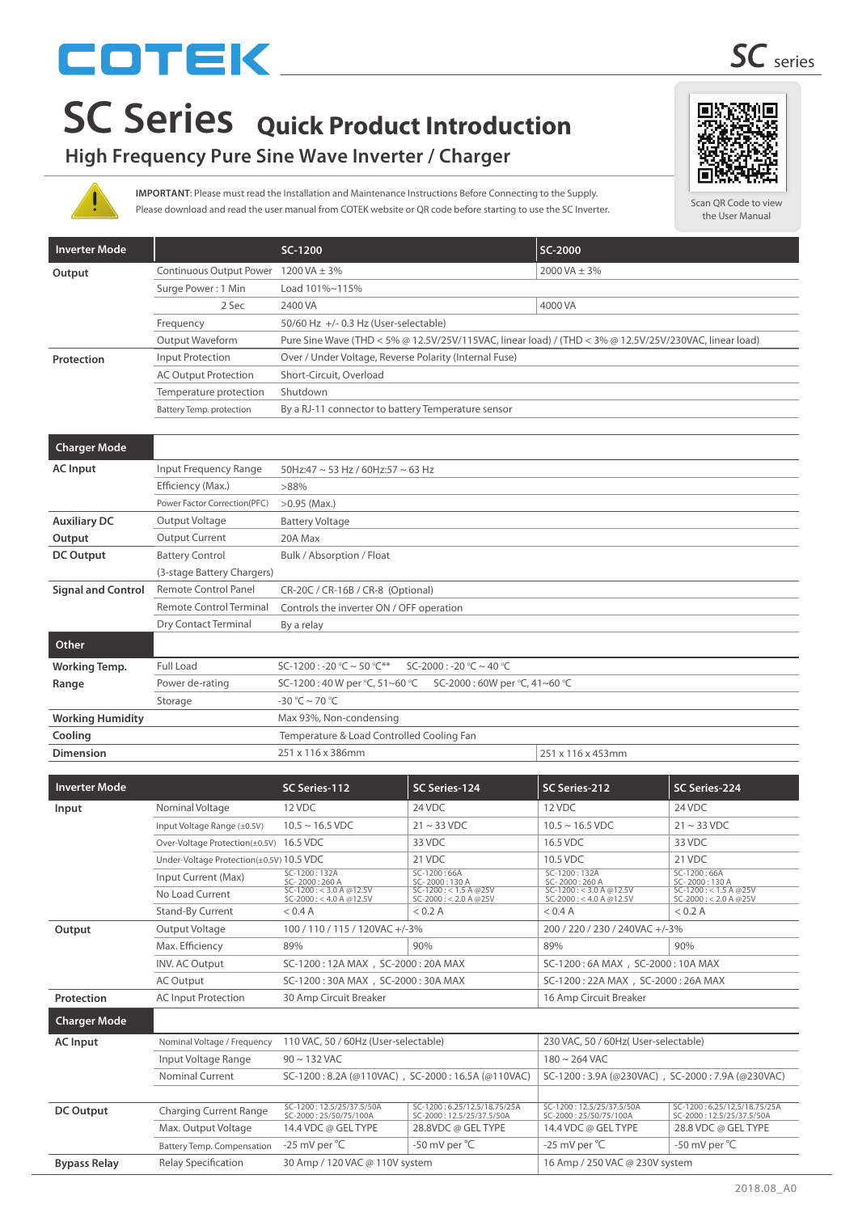# COTEK

## **High Frequency Pure Sine Wave Inverter / Charger**

Please download and read the user manual from COTEK website or QR code before starting to use the SC Inverter. **IMPORTANT**: Please must read the Installation and Maintenance Instructions Before Connecting to the Supply.

| <b>Inverter Mode</b>      |                                 | SC-1200                                                                                                |               | SC-2000           |               |  |
|---------------------------|---------------------------------|--------------------------------------------------------------------------------------------------------|---------------|-------------------|---------------|--|
| Output                    | <b>Continuous Output Power</b>  | 1200 VA $\pm$ 3%                                                                                       |               | 2000 VA $\pm$ 3%  |               |  |
|                           | Surge Power: 1 Min              | Load 101%~115%                                                                                         |               |                   |               |  |
|                           | 2 Sec                           | 2400 VA                                                                                                |               | 4000 VA           |               |  |
|                           | Frequency                       | 50/60 Hz +/- 0.3 Hz (User-selectable)                                                                  |               |                   |               |  |
|                           | Output Waveform                 | Pure Sine Wave (THD < 5% @ 12.5V/25V/115VAC, linear load) / (THD < 3% @ 12.5V/25V/230VAC, linear load) |               |                   |               |  |
| Protection                | Input Protection                | Over / Under Voltage, Reverse Polarity (Internal Fuse)                                                 |               |                   |               |  |
|                           | <b>AC Output Protection</b>     | Short-Circuit, Overload                                                                                |               |                   |               |  |
|                           | Temperature protection          | Shutdown                                                                                               |               |                   |               |  |
|                           | <b>Battery Temp. protection</b> | By a RJ-11 connector to battery Temperature sensor                                                     |               |                   |               |  |
|                           |                                 |                                                                                                        |               |                   |               |  |
| <b>Charger Mode</b>       |                                 |                                                                                                        |               |                   |               |  |
| <b>AC</b> Input           | Input Frequency Range           | 50Hz:47 ~ 53 Hz / 60Hz:57 ~ 63 Hz                                                                      |               |                   |               |  |
|                           | Efficiency (Max.)               | >88%                                                                                                   |               |                   |               |  |
|                           | Power Factor Correction(PFC)    | $>0.95$ (Max.)                                                                                         |               |                   |               |  |
| <b>Auxiliary DC</b>       | Output Voltage                  | <b>Battery Voltage</b>                                                                                 |               |                   |               |  |
| Output                    | <b>Output Current</b>           | 20A Max                                                                                                |               |                   |               |  |
| <b>DC Output</b>          | <b>Battery Control</b>          | Bulk / Absorption / Float                                                                              |               |                   |               |  |
|                           | (3-stage Battery Chargers)      |                                                                                                        |               |                   |               |  |
| <b>Signal and Control</b> | <b>Remote Control Panel</b>     | CR-20C / CR-16B / CR-8 (Optional)                                                                      |               |                   |               |  |
|                           | <b>Remote Control Terminal</b>  | Controls the inverter ON / OFF operation                                                               |               |                   |               |  |
|                           | Dry Contact Terminal            | By a relay                                                                                             |               |                   |               |  |
| Other                     |                                 |                                                                                                        |               |                   |               |  |
| <b>Working Temp.</b>      | <b>Full Load</b>                | SC-1200 : -20 °C ~ 50 °C**<br>$SC-2000: -20°C \sim 40°C$                                               |               |                   |               |  |
| Range                     | Power de-rating                 | SC-1200:40 W per °C, 51~60 °C<br>SC-2000:60W per °C, 41~60 °C                                          |               |                   |               |  |
|                           | Storage                         | $-30 °C \sim 70 °C$                                                                                    |               |                   |               |  |
| <b>Working Humidity</b>   |                                 | Max 93%, Non-condensing                                                                                |               |                   |               |  |
| Cooling                   |                                 | Temperature & Load Controlled Cooling Fan                                                              |               |                   |               |  |
| <b>Dimension</b>          |                                 | 251 x 116 x 386mm                                                                                      |               | 251 x 116 x 453mm |               |  |
|                           |                                 |                                                                                                        |               |                   |               |  |
| <b>Inverter Mode</b>      |                                 | SC Series-112                                                                                          | SC Series-124 | SC Series-212     | SC Series-224 |  |
| Input                     | Nominal Voltage                 | 12 VDC                                                                                                 | 24 VDC        | 12 VDC            | 24 VDC        |  |

| Input                                    | Nominal Voltage                         | 12 VDC                                                     | 24 VDC                                               | 12 VDC                                                     | 24 VDC                                               |
|------------------------------------------|-----------------------------------------|------------------------------------------------------------|------------------------------------------------------|------------------------------------------------------------|------------------------------------------------------|
|                                          | Input Voltage Range (±0.5V)             | $10.5 \sim 16.5$ VDC                                       | $21 \sim 33$ VDC                                     | $10.5 \sim 16.5$ VDC                                       | $21 \sim 33 \text{ VDC}$                             |
|                                          | Over-Voltage Protection(±0.5V) 16.5 VDC |                                                            | 33 VDC                                               | 16.5 VDC                                                   | 33 VDC                                               |
| Under-Voltage Protection(±0.5V) 10.5 VDC |                                         |                                                            | 21 VDC                                               | 10.5 VDC                                                   | 21 VDC                                               |
|                                          | Input Current (Max)                     | $SC-1200:132A$<br>SC-2000:260 A                            | $SC-1200:66A$<br>SC-2000:130 A                       | $SC-1200:132A$<br>SC-2000:260 A                            | $SC-1200:66A$<br>SC-2000:130 A                       |
|                                          | No Load Current                         | $SC-1200 : < 3.0 A @ 12.5V$<br>$SC-2000 : < 4.0 A @ 12.5V$ | $SC-1200 : < 1.5 A @25V$<br>$SC-2000 : < 2.0 A @25V$ | $SC-1200 : < 3.0 A @ 12.5V$<br>$SC-2000 : < 4.0 A @ 12.5V$ | $SC-1200 : < 1.5 A @25V$<br>$SC-2000 : < 2.0 A @25V$ |
|                                          | Stand-By Current                        | < 0.4 A                                                    | < 0.2 A                                              | < 0.4 A                                                    | < 0.2 A                                              |
| Output                                   | Output Voltage                          | 100 / 110 / 115 / 120VAC +/-3%                             |                                                      | 200 / 220 / 230 / 240VAC +/-3%                             |                                                      |
|                                          | Max. Efficiency                         | 89%                                                        | 90%                                                  | 89%                                                        | 90%                                                  |
|                                          | <b>INV. AC Output</b>                   | SC-1200: 12A MAX, SC-2000: 20A MAX                         |                                                      | SC-1200:6A MAX, SC-2000:10A MAX                            |                                                      |
|                                          | <b>AC Output</b>                        | SC-1200: 30A MAX, SC-2000: 30A MAX                         |                                                      | SC-1200: 22A MAX, SC-2000: 26A MAX                         |                                                      |
| Protection                               | <b>AC Input Protection</b>              | 30 Amp Circuit Breaker                                     |                                                      | 16 Amp Circuit Breaker                                     |                                                      |
| <b>Charger Mode</b>                      |                                         |                                                            |                                                      |                                                            |                                                      |
| <b>AC</b> Input                          | Nominal Voltage / Frequency             | 110 VAC, 50 / 60Hz (User-selectable)                       |                                                      | 230 VAC, 50 / 60Hz( User-selectable)                       |                                                      |
|                                          | Input Voltage Range                     | $90 \sim 132$ VAC                                          |                                                      | $180 \sim 264$ VAC                                         |                                                      |
|                                          | <b>Nominal Current</b>                  | SC-1200: 8.2A (@110VAC), SC-2000: 16.5A (@110VAC)          |                                                      | SC-1200: 3.9A (@230VAC), SC-2000: 7.9A (@230VAC)           |                                                      |
|                                          |                                         |                                                            |                                                      |                                                            |                                                      |

|                     |                               | $55.1200.10011$ ( $\frac{1}{2}$ ) $\frac{1}{2}$ ( $\frac{1}{2}$ ) $\frac{1}{2}$ $\frac{1}{2}$ $\frac{1}{2}$ $\frac{1}{2}$ $\frac{1}{2}$ $\frac{1}{2}$ $\frac{1}{2}$ $\frac{1}{2}$ |                                                          | $55.1200.3371109230111777732200.77371109230111577$ |                                                          |
|---------------------|-------------------------------|-----------------------------------------------------------------------------------------------------------------------------------------------------------------------------------|----------------------------------------------------------|----------------------------------------------------|----------------------------------------------------------|
|                     |                               |                                                                                                                                                                                   |                                                          |                                                    |                                                          |
| DC Output           | <b>Charging Current Range</b> | SC-1200: 12.5/25/37.5/50A<br>SC-2000: 25/50/75/100A                                                                                                                               | SC-1200:6.25/12.5/18.75/25A<br>SC-2000: 12.5/25/37.5/50A | SC-1200:12.5/25/37.5/50A<br>SC-2000:25/50/75/100A  | SC-1200:6.25/12.5/18.75/25A<br>SC-2000: 12.5/25/37.5/50A |
|                     | Max. Output Voltage           | 14.4 VDC @ GEL TYPE                                                                                                                                                               | 28.8VDC @ GEL TYPE                                       | 14.4 VDC @ GEL TYPE                                | 28.8 VDC @ GEL TYPE                                      |
|                     | Battery Temp. Compensation    | -25 mV per °C                                                                                                                                                                     | -50 mV per °C                                            | -25 mV per $^{\circ}$ C                            | -50 mV per °C                                            |
| <b>Bypass Relay</b> | Relay Specification           | 30 Amp / 120 VAC @ 110V system                                                                                                                                                    |                                                          | 16 Amp / 250 VAC @ 230V system                     |                                                          |



Scan QR Code to view the User Manual

回染浓染的

tл